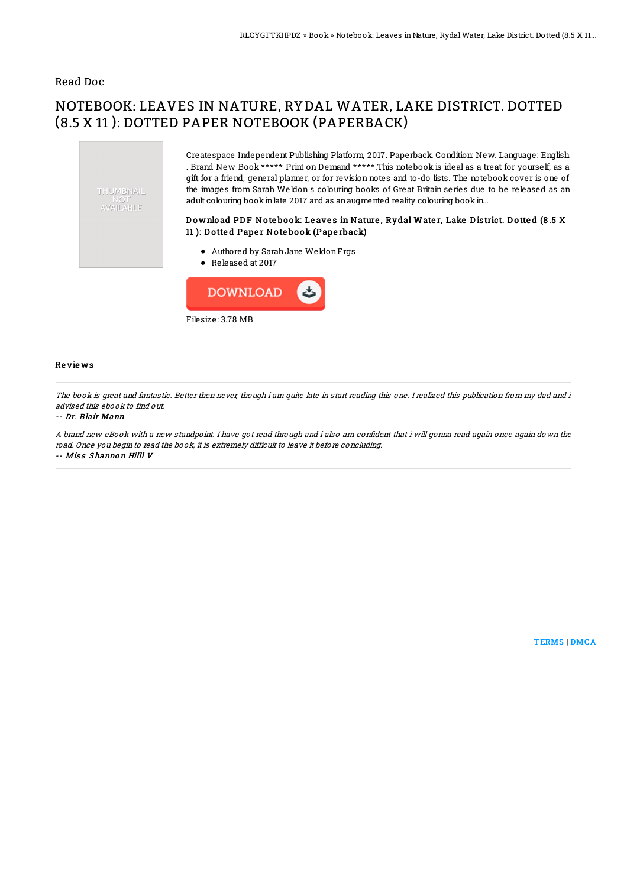### Read Doc

# NOTEBOOK: LEAVES IN NATURE, RYDAL WATER, LAKE DISTRICT. DOTTED (8.5 X 11 ): DOTTED PAPER NOTEBOOK (PAPERBACK)



Createspace Independent Publishing Platform, 2017. Paperback. Condition: New. Language: English . Brand New Book \*\*\*\*\* Print on Demand \*\*\*\*\*.This notebook is ideal as a treat for yourself, as a gift for a friend, general planner, or for revision notes and to-do lists. The notebook cover is one of the images from Sarah Weldon s colouring books of Great Britain series due to be released as an adult colouring book in late 2017 and as an augmented reality colouring book in...

#### Download PDF Notebook: Leaves in Nature, Rydal Water, Lake District. Dotted (8.5 X 11 ): Dotted Paper Notebook (Paperback)

- Authored by SarahJane WeldonFrgs
- Released at 2017



#### Re vie ws

The book is great and fantastic. Better then never, though i am quite late in start reading this one. I realized this publication from my dad and i advised this ebook to find out.

#### -- Dr. Blair Mann

A brand new eBook with a new standpoint. I have got read through and i also am confident that i will gonna read again once again down the road. Once you begin to read the book, it is extremely difficult to leave it before concluding. -- Miss Shannon Hilll V